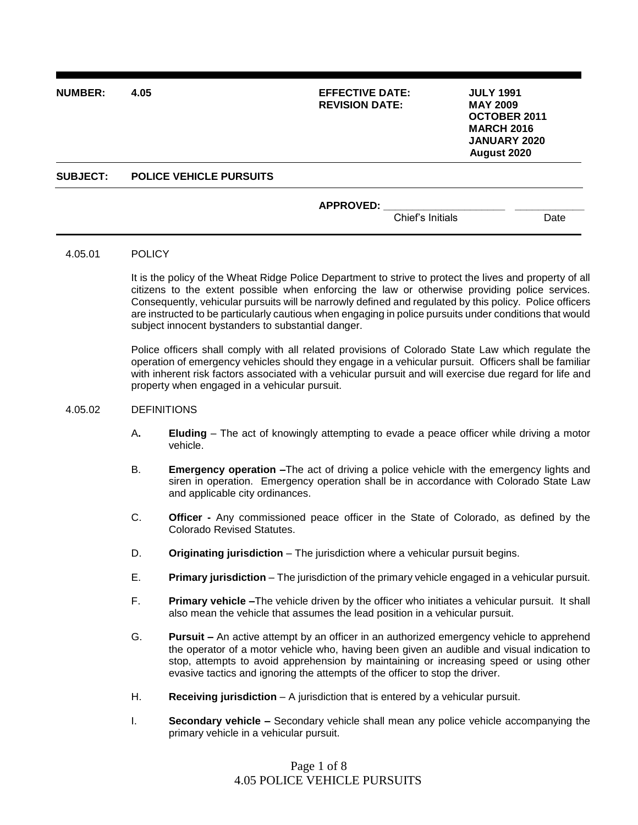| <b>NUMBER:</b>  | 4.05                           | <b>EFFECTIVE DATE:</b><br><b>REVISION DATE:</b> |                  | <b>JULY 1991</b><br><b>MAY 2009</b><br><b>OCTOBER 2011</b><br><b>MARCH 2016</b><br><b>JANUARY 2020</b><br>August 2020 |      |
|-----------------|--------------------------------|-------------------------------------------------|------------------|-----------------------------------------------------------------------------------------------------------------------|------|
| <b>SUBJECT:</b> | <b>POLICE VEHICLE PURSUITS</b> |                                                 |                  |                                                                                                                       |      |
|                 |                                | <b>APPROVED:</b>                                | Chief's Initials |                                                                                                                       | Date |

#### 4.05.01 POLICY

It is the policy of the Wheat Ridge Police Department to strive to protect the lives and property of all citizens to the extent possible when enforcing the law or otherwise providing police services. Consequently, vehicular pursuits will be narrowly defined and regulated by this policy. Police officers are instructed to be particularly cautious when engaging in police pursuits under conditions that would subject innocent bystanders to substantial danger.

Police officers shall comply with all related provisions of Colorado State Law which regulate the operation of emergency vehicles should they engage in a vehicular pursuit. Officers shall be familiar with inherent risk factors associated with a vehicular pursuit and will exercise due regard for life and property when engaged in a vehicular pursuit.

#### 4.05.02 DEFINITIONS

- A**. Eluding** The act of knowingly attempting to evade a peace officer while driving a motor vehicle.
- B. **Emergency operation –**The act of driving a police vehicle with the emergency lights and siren in operation. Emergency operation shall be in accordance with Colorado State Law and applicable city ordinances.
- C. **Officer -** Any commissioned peace officer in the State of Colorado, as defined by the Colorado Revised Statutes.
- D. **Originating jurisdiction** The jurisdiction where a vehicular pursuit begins.
- E. **Primary jurisdiction**  The jurisdiction of the primary vehicle engaged in a vehicular pursuit.
- F. **Primary vehicle –**The vehicle driven by the officer who initiates a vehicular pursuit. It shall also mean the vehicle that assumes the lead position in a vehicular pursuit.
- G. **Pursuit –** An active attempt by an officer in an authorized emergency vehicle to apprehend the operator of a motor vehicle who, having been given an audible and visual indication to stop, attempts to avoid apprehension by maintaining or increasing speed or using other evasive tactics and ignoring the attempts of the officer to stop the driver.
- H. **Receiving jurisdiction** A jurisdiction that is entered by a vehicular pursuit.
- I. **Secondary vehicle –** Secondary vehicle shall mean any police vehicle accompanying the primary vehicle in a vehicular pursuit.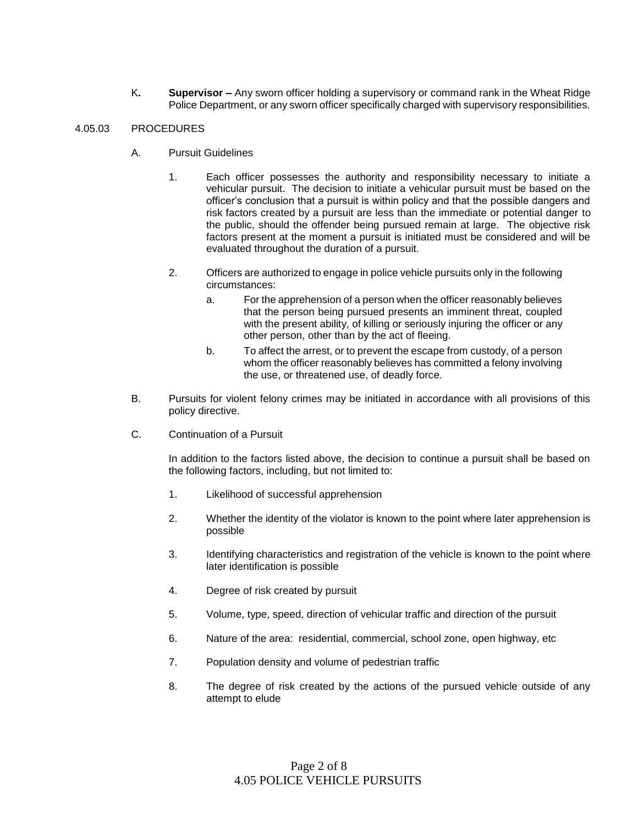K**. Supervisor –** Any sworn officer holding a supervisory or command rank in the Wheat Ridge Police Department, or any sworn officer specifically charged with supervisory responsibilities.

## 4.05.03 PROCEDURES

- A. Pursuit Guidelines
	- 1. Each officer possesses the authority and responsibility necessary to initiate a vehicular pursuit. The decision to initiate a vehicular pursuit must be based on the officer's conclusion that a pursuit is within policy and that the possible dangers and risk factors created by a pursuit are less than the immediate or potential danger to the public, should the offender being pursued remain at large. The objective risk factors present at the moment a pursuit is initiated must be considered and will be evaluated throughout the duration of a pursuit.
	- 2. Officers are authorized to engage in police vehicle pursuits only in the following circumstances:
		- a. For the apprehension of a person when the officer reasonably believes that the person being pursued presents an imminent threat, coupled with the present ability, of killing or seriously injuring the officer or any other person, other than by the act of fleeing.
		- b. To affect the arrest, or to prevent the escape from custody, of a person whom the officer reasonably believes has committed a felony involving the use, or threatened use, of deadly force.
- B. Pursuits for violent felony crimes may be initiated in accordance with all provisions of this policy directive.
- C. Continuation of a Pursuit

In addition to the factors listed above, the decision to continue a pursuit shall be based on the following factors, including, but not limited to:

- 1. Likelihood of successful apprehension
- 2. Whether the identity of the violator is known to the point where later apprehension is possible
- 3. Identifying characteristics and registration of the vehicle is known to the point where later identification is possible
- 4. Degree of risk created by pursuit
- 5. Volume, type, speed, direction of vehicular traffic and direction of the pursuit
- 6. Nature of the area: residential, commercial, school zone, open highway, etc
- 7. Population density and volume of pedestrian traffic
- 8. The degree of risk created by the actions of the pursued vehicle outside of any attempt to elude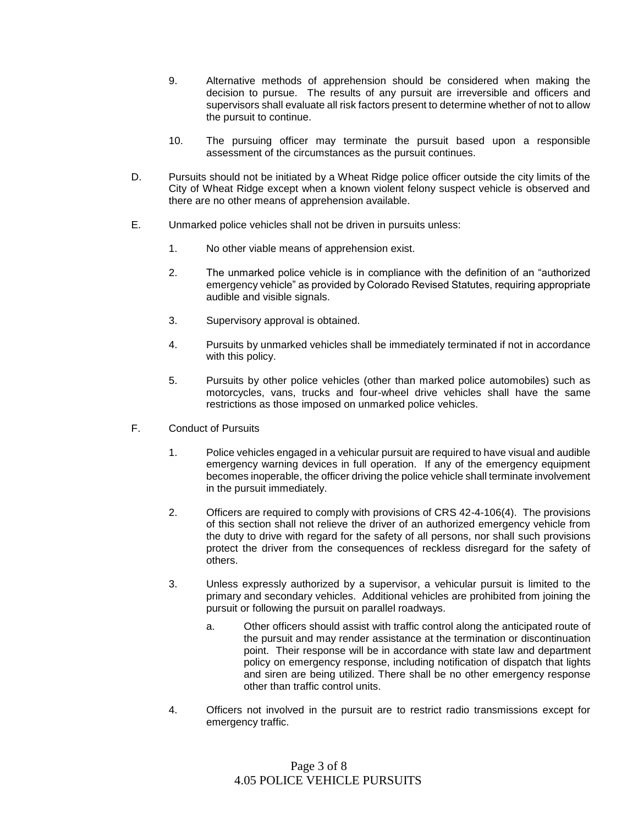- 9. Alternative methods of apprehension should be considered when making the decision to pursue. The results of any pursuit are irreversible and officers and supervisors shall evaluate all risk factors present to determine whether of not to allow the pursuit to continue.
- 10. The pursuing officer may terminate the pursuit based upon a responsible assessment of the circumstances as the pursuit continues.
- D. Pursuits should not be initiated by a Wheat Ridge police officer outside the city limits of the City of Wheat Ridge except when a known violent felony suspect vehicle is observed and there are no other means of apprehension available.
- E. Unmarked police vehicles shall not be driven in pursuits unless:
	- 1. No other viable means of apprehension exist.
	- 2. The unmarked police vehicle is in compliance with the definition of an "authorized emergency vehicle" as provided by Colorado Revised Statutes, requiring appropriate audible and visible signals.
	- 3. Supervisory approval is obtained.
	- 4. Pursuits by unmarked vehicles shall be immediately terminated if not in accordance with this policy.
	- 5. Pursuits by other police vehicles (other than marked police automobiles) such as motorcycles, vans, trucks and four-wheel drive vehicles shall have the same restrictions as those imposed on unmarked police vehicles.
- F. Conduct of Pursuits
	- 1. Police vehicles engaged in a vehicular pursuit are required to have visual and audible emergency warning devices in full operation. If any of the emergency equipment becomes inoperable, the officer driving the police vehicle shall terminate involvement in the pursuit immediately.
	- 2. Officers are required to comply with provisions of CRS 42-4-106(4). The provisions of this section shall not relieve the driver of an authorized emergency vehicle from the duty to drive with regard for the safety of all persons, nor shall such provisions protect the driver from the consequences of reckless disregard for the safety of others.
	- 3. Unless expressly authorized by a supervisor, a vehicular pursuit is limited to the primary and secondary vehicles. Additional vehicles are prohibited from joining the pursuit or following the pursuit on parallel roadways.
		- a. Other officers should assist with traffic control along the anticipated route of the pursuit and may render assistance at the termination or discontinuation point. Their response will be in accordance with state law and department policy on emergency response, including notification of dispatch that lights and siren are being utilized. There shall be no other emergency response other than traffic control units.
	- 4. Officers not involved in the pursuit are to restrict radio transmissions except for emergency traffic.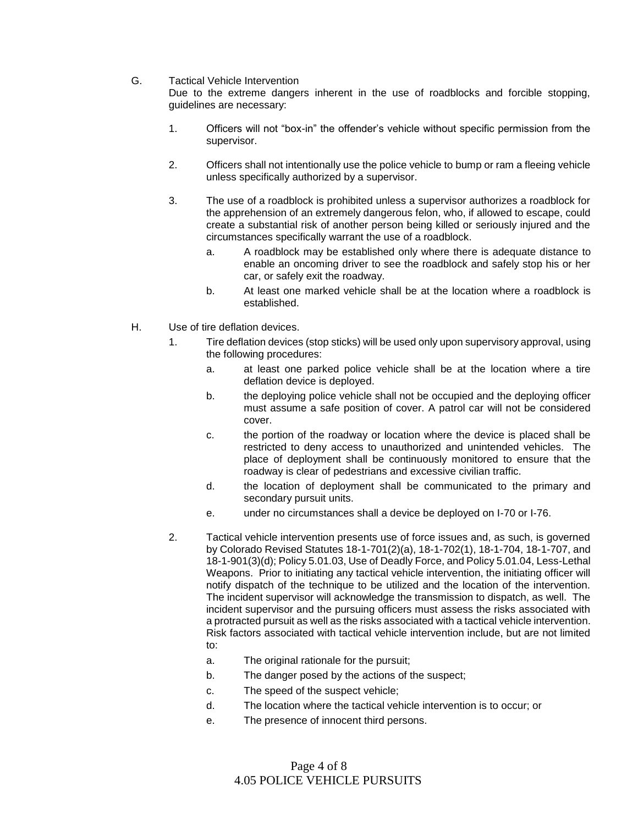G. Tactical Vehicle Intervention

Due to the extreme dangers inherent in the use of roadblocks and forcible stopping, guidelines are necessary:

- 1. Officers will not "box-in" the offender's vehicle without specific permission from the supervisor.
- 2. Officers shall not intentionally use the police vehicle to bump or ram a fleeing vehicle unless specifically authorized by a supervisor.
- 3. The use of a roadblock is prohibited unless a supervisor authorizes a roadblock for the apprehension of an extremely dangerous felon, who, if allowed to escape, could create a substantial risk of another person being killed or seriously injured and the circumstances specifically warrant the use of a roadblock.
	- a. A roadblock may be established only where there is adequate distance to enable an oncoming driver to see the roadblock and safely stop his or her car, or safely exit the roadway.
	- b. At least one marked vehicle shall be at the location where a roadblock is established.
- H. Use of tire deflation devices.
	- 1. Tire deflation devices (stop sticks) will be used only upon supervisory approval, using the following procedures:
		- a. at least one parked police vehicle shall be at the location where a tire deflation device is deployed.
		- b. the deploying police vehicle shall not be occupied and the deploying officer must assume a safe position of cover. A patrol car will not be considered cover.
		- c. the portion of the roadway or location where the device is placed shall be restricted to deny access to unauthorized and unintended vehicles. The place of deployment shall be continuously monitored to ensure that the roadway is clear of pedestrians and excessive civilian traffic.
		- d. the location of deployment shall be communicated to the primary and secondary pursuit units.
		- e. under no circumstances shall a device be deployed on I-70 or I-76.
	- 2. Tactical vehicle intervention presents use of force issues and, as such, is governed by Colorado Revised Statutes 18-1-701(2)(a), 18-1-702(1), 18-1-704, 18-1-707, and 18-1-901(3)(d); Policy 5.01.03, Use of Deadly Force, and Policy 5.01.04, Less-Lethal Weapons. Prior to initiating any tactical vehicle intervention, the initiating officer will notify dispatch of the technique to be utilized and the location of the intervention. The incident supervisor will acknowledge the transmission to dispatch, as well. The incident supervisor and the pursuing officers must assess the risks associated with a protracted pursuit as well as the risks associated with a tactical vehicle intervention. Risk factors associated with tactical vehicle intervention include, but are not limited to:
		- a. The original rationale for the pursuit;
		- b. The danger posed by the actions of the suspect;
		- c. The speed of the suspect vehicle;
		- d. The location where the tactical vehicle intervention is to occur; or
		- e. The presence of innocent third persons.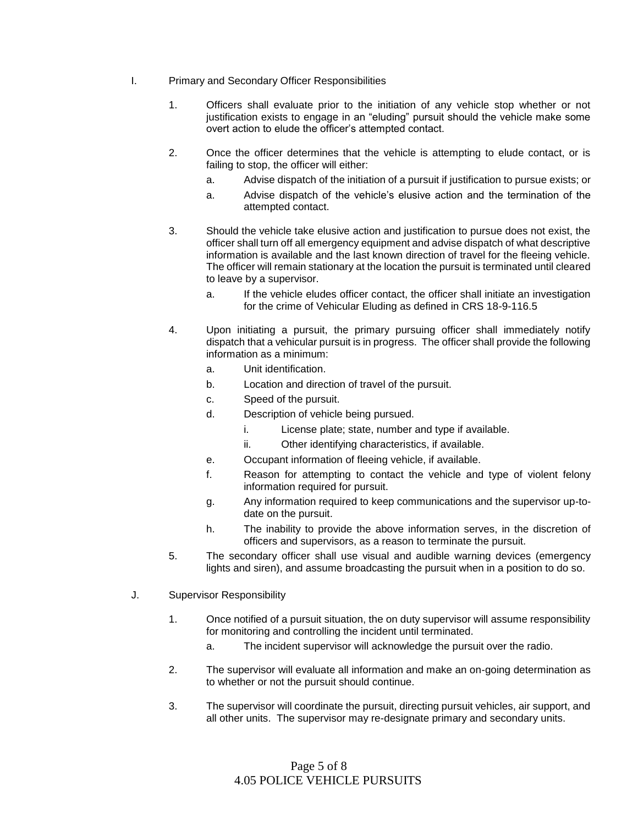- I. Primary and Secondary Officer Responsibilities
	- 1. Officers shall evaluate prior to the initiation of any vehicle stop whether or not justification exists to engage in an "eluding" pursuit should the vehicle make some overt action to elude the officer's attempted contact.
	- 2. Once the officer determines that the vehicle is attempting to elude contact, or is failing to stop, the officer will either:
		- a. Advise dispatch of the initiation of a pursuit if justification to pursue exists; or
		- a. Advise dispatch of the vehicle's elusive action and the termination of the attempted contact.
	- 3. Should the vehicle take elusive action and justification to pursue does not exist, the officer shall turn off all emergency equipment and advise dispatch of what descriptive information is available and the last known direction of travel for the fleeing vehicle. The officer will remain stationary at the location the pursuit is terminated until cleared to leave by a supervisor.
		- a. If the vehicle eludes officer contact, the officer shall initiate an investigation for the crime of Vehicular Eluding as defined in CRS 18-9-116.5
	- 4. Upon initiating a pursuit, the primary pursuing officer shall immediately notify dispatch that a vehicular pursuit is in progress. The officer shall provide the following information as a minimum:
		- a. Unit identification.
		- b. Location and direction of travel of the pursuit.
		- c. Speed of the pursuit.
		- d. Description of vehicle being pursued.
			- i. License plate; state, number and type if available.
			- ii. Other identifying characteristics, if available.
		- e. Occupant information of fleeing vehicle, if available.
		- f. Reason for attempting to contact the vehicle and type of violent felony information required for pursuit.
		- g. Any information required to keep communications and the supervisor up-todate on the pursuit.
		- h. The inability to provide the above information serves, in the discretion of officers and supervisors, as a reason to terminate the pursuit.
	- 5. The secondary officer shall use visual and audible warning devices (emergency lights and siren), and assume broadcasting the pursuit when in a position to do so.
- J. Supervisor Responsibility
	- 1. Once notified of a pursuit situation, the on duty supervisor will assume responsibility for monitoring and controlling the incident until terminated.
		- a. The incident supervisor will acknowledge the pursuit over the radio.
	- 2. The supervisor will evaluate all information and make an on-going determination as to whether or not the pursuit should continue.
	- 3. The supervisor will coordinate the pursuit, directing pursuit vehicles, air support, and all other units. The supervisor may re-designate primary and secondary units.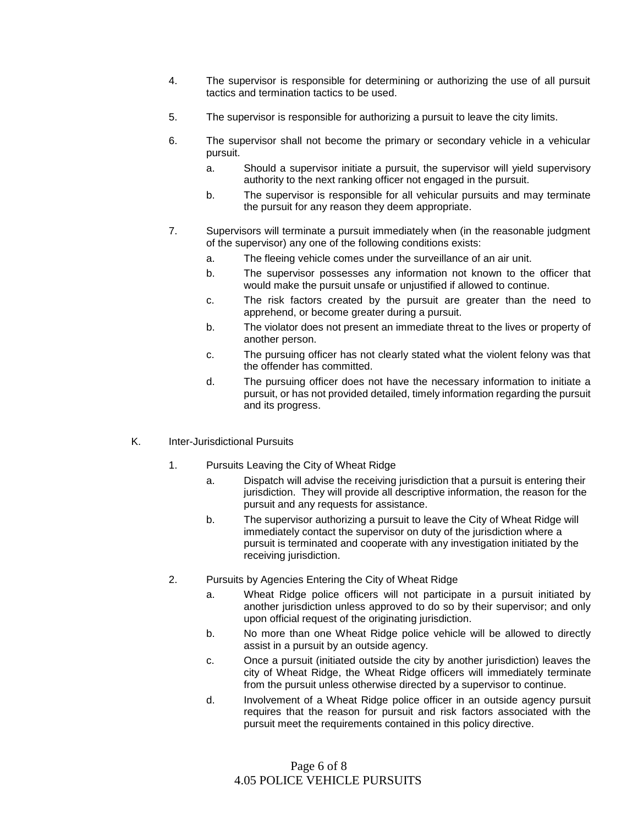- 4. The supervisor is responsible for determining or authorizing the use of all pursuit tactics and termination tactics to be used.
- 5. The supervisor is responsible for authorizing a pursuit to leave the city limits.
- 6. The supervisor shall not become the primary or secondary vehicle in a vehicular pursuit.
	- a. Should a supervisor initiate a pursuit, the supervisor will yield supervisory authority to the next ranking officer not engaged in the pursuit.
	- b. The supervisor is responsible for all vehicular pursuits and may terminate the pursuit for any reason they deem appropriate.
- 7. Supervisors will terminate a pursuit immediately when (in the reasonable judgment of the supervisor) any one of the following conditions exists:
	- a. The fleeing vehicle comes under the surveillance of an air unit.
	- b. The supervisor possesses any information not known to the officer that would make the pursuit unsafe or unjustified if allowed to continue.
	- c. The risk factors created by the pursuit are greater than the need to apprehend, or become greater during a pursuit.
	- b. The violator does not present an immediate threat to the lives or property of another person.
	- c. The pursuing officer has not clearly stated what the violent felony was that the offender has committed.
	- d. The pursuing officer does not have the necessary information to initiate a pursuit, or has not provided detailed, timely information regarding the pursuit and its progress.
- K. Inter-Jurisdictional Pursuits
	- 1. Pursuits Leaving the City of Wheat Ridge
		- a. Dispatch will advise the receiving jurisdiction that a pursuit is entering their jurisdiction. They will provide all descriptive information, the reason for the pursuit and any requests for assistance.
		- b. The supervisor authorizing a pursuit to leave the City of Wheat Ridge will immediately contact the supervisor on duty of the jurisdiction where a pursuit is terminated and cooperate with any investigation initiated by the receiving jurisdiction.
	- 2. Pursuits by Agencies Entering the City of Wheat Ridge
		- a. Wheat Ridge police officers will not participate in a pursuit initiated by another jurisdiction unless approved to do so by their supervisor; and only upon official request of the originating jurisdiction.
		- b. No more than one Wheat Ridge police vehicle will be allowed to directly assist in a pursuit by an outside agency.
		- c. Once a pursuit (initiated outside the city by another jurisdiction) leaves the city of Wheat Ridge, the Wheat Ridge officers will immediately terminate from the pursuit unless otherwise directed by a supervisor to continue.
		- d. Involvement of a Wheat Ridge police officer in an outside agency pursuit requires that the reason for pursuit and risk factors associated with the pursuit meet the requirements contained in this policy directive.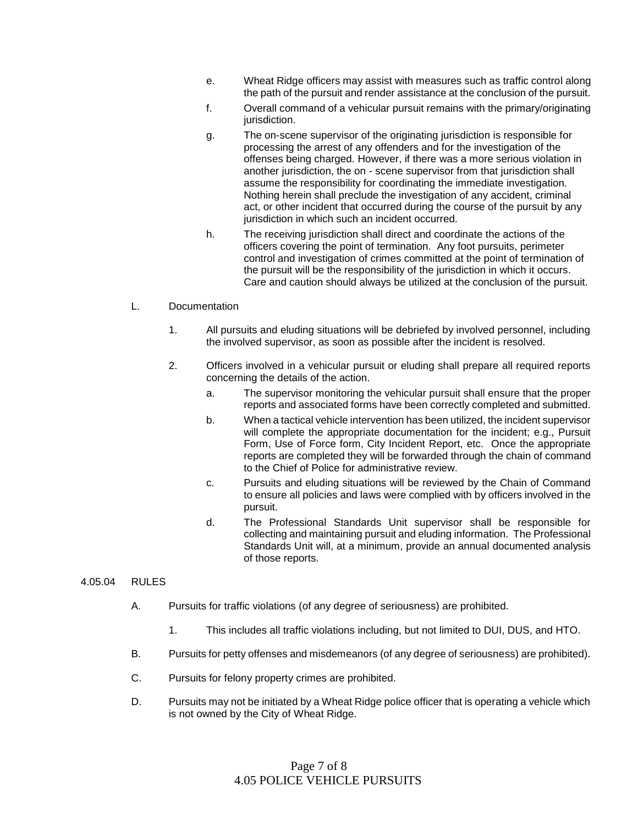- e. Wheat Ridge officers may assist with measures such as traffic control along the path of the pursuit and render assistance at the conclusion of the pursuit.
- f. Overall command of a vehicular pursuit remains with the primary/originating jurisdiction.
- g. The on-scene supervisor of the originating jurisdiction is responsible for processing the arrest of any offenders and for the investigation of the offenses being charged. However, if there was a more serious violation in another jurisdiction, the on - scene supervisor from that jurisdiction shall assume the responsibility for coordinating the immediate investigation. Nothing herein shall preclude the investigation of any accident, criminal act, or other incident that occurred during the course of the pursuit by any jurisdiction in which such an incident occurred.
- h. The receiving jurisdiction shall direct and coordinate the actions of the officers covering the point of termination. Any foot pursuits, perimeter control and investigation of crimes committed at the point of termination of the pursuit will be the responsibility of the jurisdiction in which it occurs. Care and caution should always be utilized at the conclusion of the pursuit.

# L. Documentation

- 1. All pursuits and eluding situations will be debriefed by involved personnel, including the involved supervisor, as soon as possible after the incident is resolved.
- 2. Officers involved in a vehicular pursuit or eluding shall prepare all required reports concerning the details of the action.
	- a. The supervisor monitoring the vehicular pursuit shall ensure that the proper reports and associated forms have been correctly completed and submitted.
	- b. When a tactical vehicle intervention has been utilized, the incident supervisor will complete the appropriate documentation for the incident; e.g., Pursuit Form, Use of Force form, City Incident Report, etc. Once the appropriate reports are completed they will be forwarded through the chain of command to the Chief of Police for administrative review.
	- c. Pursuits and eluding situations will be reviewed by the Chain of Command to ensure all policies and laws were complied with by officers involved in the pursuit.
	- d. The Professional Standards Unit supervisor shall be responsible for collecting and maintaining pursuit and eluding information. The Professional Standards Unit will, at a minimum, provide an annual documented analysis of those reports.

## 4.05.04 RULES

- A. Pursuits for traffic violations (of any degree of seriousness) are prohibited.
	- 1. This includes all traffic violations including, but not limited to DUI, DUS, and HTO.
- B. Pursuits for petty offenses and misdemeanors (of any degree of seriousness) are prohibited).
- C. Pursuits for felony property crimes are prohibited.
- D. Pursuits may not be initiated by a Wheat Ridge police officer that is operating a vehicle which is not owned by the City of Wheat Ridge.